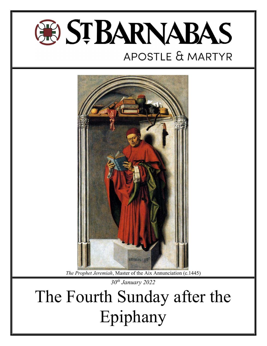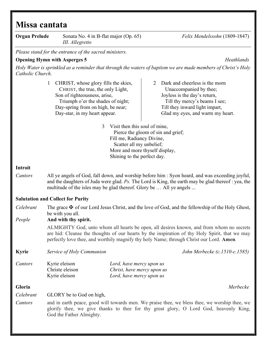# Missa cantata

| <b>Organ Prelude</b> | Sonata No. 4 in B-flat major (Op. 65)<br>III. Allegretto                                                                                                                                                                                                                         |                                                                                                                                                              | Felix Mendelssohn (1809-1847)                                                                                                                                                                                                                                                        |
|----------------------|----------------------------------------------------------------------------------------------------------------------------------------------------------------------------------------------------------------------------------------------------------------------------------|--------------------------------------------------------------------------------------------------------------------------------------------------------------|--------------------------------------------------------------------------------------------------------------------------------------------------------------------------------------------------------------------------------------------------------------------------------------|
|                      | Please stand for the entrance of the sacred ministers.                                                                                                                                                                                                                           |                                                                                                                                                              |                                                                                                                                                                                                                                                                                      |
|                      | <b>Opening Hymn with Asperges 5</b>                                                                                                                                                                                                                                              |                                                                                                                                                              | Heathlands                                                                                                                                                                                                                                                                           |
| Catholic Church.     |                                                                                                                                                                                                                                                                                  |                                                                                                                                                              | Holy Water is sprinkled as a reminder that through the waters of baptism we are made members of Christ's Holy                                                                                                                                                                        |
|                      | CHRIST, whose glory fills the skies,<br>$\mathbf{1}$<br>CHRIST, the true, the only Light,<br>Son of righteousness, arise,<br>Triumph o'er the shades of night;<br>Day-spring from on high, be near;<br>Day-star, in my heart appear.<br>3                                        | 2<br>Visit then this soul of mine,                                                                                                                           | Dark and cheerless is the morn<br>Unaccompanied by thee;<br>Joyless is the day's return,<br>Till thy mercy's beams I see;<br>Till they inward light impart,<br>Glad my eyes, and warm my heart.                                                                                      |
|                      |                                                                                                                                                                                                                                                                                  | Pierce the gloom of sin and grief;<br>Fill me, Radiancy Divine,<br>Scatter all my unbelief;<br>More and more thyself display,<br>Shining to the perfect day. |                                                                                                                                                                                                                                                                                      |
| Introit              |                                                                                                                                                                                                                                                                                  |                                                                                                                                                              |                                                                                                                                                                                                                                                                                      |
| Cantors              | All ye angels of God, fall down, and worship before him : Syon heard, and was exceeding joyful,<br>and the daughters of Juda were glad. $Ps$ . The Lord is King, the earth may be glad thereof : yea, the<br>multitude of the isles may be glad thereof. Glory be  All ye angels |                                                                                                                                                              |                                                                                                                                                                                                                                                                                      |
|                      | <b>Salutation and Collect for Purity</b>                                                                                                                                                                                                                                         |                                                                                                                                                              |                                                                                                                                                                                                                                                                                      |
| Celebrant<br>People  | The grace $\mathbf{\mathbf{\mathbf{\Psi}}}$ of our Lord Jesus Christ, and the love of God, and the fellowship of the Holy Ghost,<br>be with you all.<br>And with thy spirit.                                                                                                     |                                                                                                                                                              |                                                                                                                                                                                                                                                                                      |
|                      |                                                                                                                                                                                                                                                                                  |                                                                                                                                                              | ALMIGHTY God, unto whom all hearts be open, all desires known, and from whom no secrets<br>are hid: Cleanse the thoughts of our hearts by the inspiration of thy Holy Spirit, that we may<br>perfectly love thee, and worthily magnify thy holy Name; through Christ our Lord. Amen. |
| <b>Kyrie</b>         | Service of Holy Communion                                                                                                                                                                                                                                                        |                                                                                                                                                              | John Merbecke (c.1510-c.1585)                                                                                                                                                                                                                                                        |
| Cantors              | Kyrie eleison<br>Christe eleison<br>Kyrie eleison                                                                                                                                                                                                                                | Lord, have mercy upon us<br>Christ, have mercy upon us<br>Lord, have mercy upon us                                                                           |                                                                                                                                                                                                                                                                                      |
| Gloria               |                                                                                                                                                                                                                                                                                  |                                                                                                                                                              | Merbecke                                                                                                                                                                                                                                                                             |
| Celebrant            | GLORY be to God on high,                                                                                                                                                                                                                                                         |                                                                                                                                                              |                                                                                                                                                                                                                                                                                      |
| Cantors              | God the Father Almighty.                                                                                                                                                                                                                                                         |                                                                                                                                                              | and in earth peace, good will towards men. We praise thee, we bless thee, we worship thee, we<br>glorify thee, we give thanks to thee for thy great glory, O Lord God, heavenly King,                                                                                                |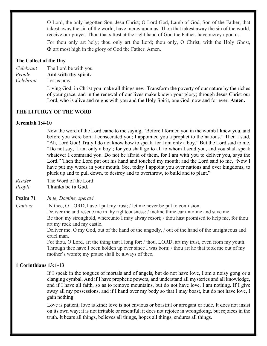O Lord, the only-begotten Son, Jesu Christ; O Lord God, Lamb of God, Son of the Father, that takest away the sin of the world, have mercy upon us. Thou that takest away the sin of the world, receive our prayer. Thou that sittest at the right hand of God the Father, have mercy upon us. For thou only art holy; thou only art the Lord; thou only, O Christ, with the Holy Ghost,

### The Collect of the Day

- Celebrant The Lord be with you
- People And with thy spirit.

Celebrant Let us pray.

 Living God, in Christ you make all things new. Transform the poverty of our nature by the riches of your grace, and in the renewal of our lives make known your glory; through Jesus Christ our Lord, who is alive and reigns with you and the Holy Spirit, one God, now and for ever. **Amen.** 

### THE LITURGY OF THE WORD

#### Jeremiah 1:4-10

 Now the word of the Lord came to me saying, "Before I formed you in the womb I knew you, and before you were born I consecrated you; I appointed you a prophet to the nations." Then I said, "Ah, Lord God! Truly I do not know how to speak, for I am only a boy." But the Lord said to me, "Do not say, 'I am only a boy'; for you shall go to all to whom I send you, and you shall speak whatever I command you. Do not be afraid of them, for I am with you to deliver you, says the Lord." Then the Lord put out his hand and touched my mouth; and the Lord said to me, "Now I have put my words in your mouth. See, today I appoint you over nations and over kingdoms, to pluck up and to pull down, to destroy and to overthrow, to build and to plant."

- Reader The Word of the Lord
- People Thanks be to God.

Psalm 71 In te, Domine, speravi.

Cantors IN thee, O LORD, have I put my trust; / let me never be put to confusion.

✠ art most high in the glory of God the Father. Amen.

Deliver me and rescue me in thy righteousness: / incline thine ear unto me and save me.

Be thou my stronghold, whereunto I may alway resort; / thou hast promised to help me, for thou art my rock and my castle.

Deliver me, O my God, out of the hand of the ungodly, / out of the hand of the unrighteous and cruel man.

For thou, O Lord, art the thing that I long for: / thou, LORD, art my trust, even from my youth. Through thee have I been holden up ever since I was born: / thou art he that took me out of my mother's womb; my praise shall be always of thee.

# 1 Corinthians 13:1-13

 If I speak in the tongues of mortals and of angels, but do not have love, I am a noisy gong or a clanging cymbal. And if I have prophetic powers, and understand all mysteries and all knowledge, and if I have all faith, so as to remove mountains, but do not have love, I am nothing. If I give away all my possessions, and if I hand over my body so that I may boast, but do not have love, I gain nothing.

 Love is patient; love is kind; love is not envious or boastful or arrogant or rude. It does not insist on its own way; it is not irritable or resentful; it does not rejoice in wrongdoing, but rejoices in the truth. It bears all things, believes all things, hopes all things, endures all things.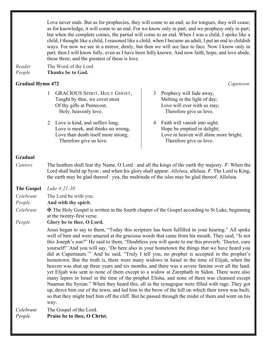Love never ends. But as for prophecies, they will come to an end; as for tongues, they will cease; as for knowledge, it will come to an end. For we know only in part, and we prophesy only in part; but when the complete comes, the partial will come to an end. When I was a child, I spoke like a child, I thought like a child, I reasoned like a child; when I became an adult, I put an end to childish ways. For now we see in a mirror, dimly, but then we will see face to face. Now I know only in part; then I will know fully, even as I have been fully known. And now faith, hope, and love abide, these three; and the greatest of these is love.

Reader The Word of the Lord People Thanks be to God.

# Gradual Hymn 472 Capetown

1 GRACIOUS SPIRIT, HOLY GHOST, Taught by thee, we covet most Of thy gifts at Pentecost, Holy, heavenly love.

2 Love is kind, and suffers long, Love is meek, and thinks no wrong, Love than death itself more strong; Therefore give us love.

3 Prophecy will fade away, Melting in the light of day; Love will ever with us stay; Therefore give us love.

4 Faith will vanish into sight; Hope be emptied in delight; Love in heaven will shine more bright; Therefore give us love.

# Gradual

Cantors The heathen shall fear thy Name, O Lord : and all the kings of the earth thy majesty.  $\cancel{V}$ . When the Lord shall build up Syon : and when his glory shall appear. Alleluia, alleluia. V. The Lord is King, the earth may be glad thereof : yea, the multitude of the isles may be glad thereof. Alleluia.

The Gospel Luke 4:21-30

Celebrant The Lord be with you.

- People **And with thy spirit.**
- Celebrant  $\mathbf \Psi$  The Holy Gospel is written in the fourth chapter of the Gospel according to St Luke, beginning at the twenty-first verse.

People Glory be to thee, O Lord.

 Jesus began to say to them, "Today this scripture has been fulfilled in your hearing." All spoke well of him and were amazed at the gracious words that came from his mouth. They said, "Is not this Joseph's son?" He said to them, "Doubtless you will quote to me this proverb, 'Doctor, cure yourself!' And you will say, 'Do here also in your hometown the things that we have heard you did at Capernaum.'" And he said, "Truly I tell you, no prophet is accepted in the prophet's hometown. But the truth is, there were many widows in Israel in the time of Elijah, when the heaven was shut up three years and six months, and there was a severe famine over all the land; yet Elijah was sent to none of them except to a widow at Zarephath in Sidon. There were also many lepers in Israel in the time of the prophet Elisha, and none of them was cleansed except Naaman the Syrian." When they heard this, all in the synagogue were filled with rage. They got up, drove him out of the town, and led him to the brow of the hill on which their town was built, so that they might hurl him off the cliff. But he passed through the midst of them and went on his way.

Celebrant The Gospel of the Lord. People Praise be to thee, O Christ.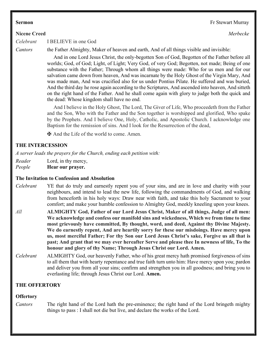#### **Nicene Creed** Merbecke

Celebrant I BELIEVE in one God

Cantors the Father Almighty, Maker of heaven and earth, And of all things visible and invisible:

 And in one Lord Jesus Christ, the only-begotten Son of God, Begotten of the Father before all worlds; God, of God; Light, of Light; Very God, of very God; Begotten, not made; Being of one substance with the Father; Through whom all things were made: Who for us men and for our salvation came down from heaven, And was incarnate by the Holy Ghost of the Virgin Mary, And was made man, And was crucified also for us under Pontius Pilate. He suffered and was buried, And the third day he rose again according to the Scriptures, And ascended into heaven, And sitteth on the right hand of the Father. And he shall come again with glory to judge both the quick and the dead: Whose kingdom shall have no end.

 And I believe in the Holy Ghost, The Lord, The Giver of Life, Who proceedeth from the Father and the Son, Who with the Father and the Son together is worshipped and glorified, Who spake by the Prophets. And I believe One, Holy, Catholic, and Apostolic Church. I acknowledge one Baptism for the remission of sins. And I look for the Resurrection of the dead,

✠ And the Life of the world to come. Amen.

# THE INTERCESSION

A server leads the prayers for the Church, ending each petition with:

Reader Lord, in thy mercy,

People **Hear our prayer.** 

#### The Invitation to Confession and Absolution

- Celebrant YE that do truly and earnestly repent you of your sins, and are in love and charity with your neighbours, and intend to lead the new life, following the commandments of God, and walking from henceforth in his holy ways: Draw near with faith, and take this holy Sacrament to your comfort; and make your humble confession to Almighty God, meekly kneeling upon your knees.
- All **ALMIGHTY God, Father of our Lord Jesus Christ, Maker of all things, Judge of all men:** We acknowledge and confess our manifold sins and wickedness, Which we from time to time most grievously have committed, By thought, word, and deed, Against thy Divine Majesty. We do earnestly repent, And are heartily sorry for these our misdoings. Have mercy upon us, most merciful Father; For thy Son our Lord Jesus Christ's sake, Forgive us all that is past; And grant that we may ever hereafter Serve and please thee In newness of life, To the honour and glory of thy Name; Through Jesus Christ our Lord. Amen.
- Celebrant ALMIGHTY God, our heavenly Father, who of his great mercy hath promised forgiveness of sins to all them that with hearty repentance and true faith turn unto him: Have mercy upon you; pardon and deliver you from all your sins; confirm and strengthen you in all goodness; and bring you to everlasting life; through Jesus Christ our Lord. Amen.

# THE OFFERTORY

# **Offertory**

Cantors The right hand of the Lord hath the pre-eminence; the right hand of the Lord bringeth mighty things to pass : I shall not die but live, and declare the works of the Lord.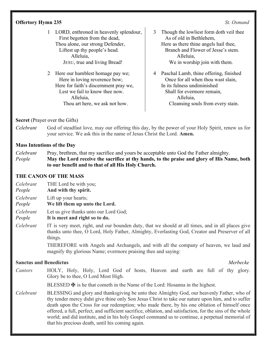# **Offertory Hymn 235** St. Osmund

- 1 LORD, enthroned in heavenly splendour, First begotten from the dead, Thou alone, our strong Defender, Liftest up thy people's head. Alleluia, JESU, true and living Bread!
- 2 Here our humblest homage pay we; Here in loving reverence bow; Here for faith's discernment pray we, Lest we fail to know thee now. Alleluia, Thou art here, we ask not how.
- 3 Though the lowliest form doth veil thee As of old in Bethlehem, Here as there thine angels hail thee, Branch and Flower of Jesse's stem. Alleluia, We in worship join with them.
- 4 Paschal Lamb, thine offering, finished Once for all when thou wast slain, In its fulness undiminished Shall for evermore remain, Alleluia, Cleansing souls from every stain.

# Secret (Prayer over the Gifts)

Celebrant God of steadfast love, may our offering this day, by the power of your Holy Spirit, renew us for your service. We ask this in the name of Jesus Christ the Lord. Amen.

# Mass Intentions of the Day

Celebrant Pray, brethren, that my sacrifice and yours be acceptable unto God the Father almighty. People May the Lord receive the sacrifice at thy hands, to the praise and glory of His Name, both to our benefit and to that of all His Holy Church.

# THE CANON OF THE MASS

- Celebrant THE Lord be with you;
- People And with thy spirit.
- Celebrant Lift up your hearts;
- People We lift them up unto the Lord.
- Celebrant Let us give thanks unto our Lord God;
- People It is meet and right so to do.
- Celebrant IT is very meet, right, and our bounden duty, that we should at all times, and in all places give thanks unto thee, O Lord, Holy Father, Almighty, Everlasting God, Creator and Preserver of all things.

THEREFORE with Angels and Archangels, and with all the company of heaven, we laud and magnify thy glorious Name; evermore praising thee and saying:

# Sanctus and Benedictus and Sanctus and Benedictus and Sanctus Affinition and Merbecke and Merbecke

Cantors HOLY, Holy, Holy, Lord God of hosts, Heaven and earth are full of thy glory. Glory be to thee, O Lord Most High.

BLESSED  $\mathbf \Psi$  is he that cometh in the Name of the Lord: Hosanna in the highest.

Celebrant BLESSING and glory and thanksgiving be unto thee Almighty God, our heavenly Father, who of thy tender mercy didst give thine only Son Jesus Christ to take our nature upon him, and to suffer death upon the Cross for our redemption; who made there, by his one oblation of himself once offered, a full, perfect, and sufficient sacrifice, oblation, and satisfaction, for the sins of the whole world; and did institute, and in his holy Gospel command us to continue, a perpetual memorial of that his precious death, until his coming again.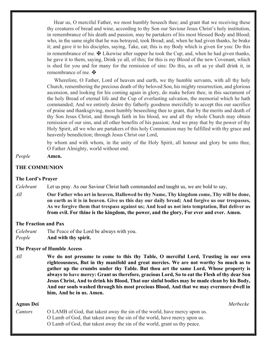Hear us, O merciful Father, we most humbly beseech thee; and grant that we receiving these thy creatures of bread and wine, according to thy Son our Saviour Jesus Christ's holy institution, in remembrance of his death and passion, may be partakers of his most blessed Body and Blood; who, in the same night that he was betrayed, took Bread; and, when he had given thanks, he brake it; and gave it to his disciples, saying, Take, eat; this is my Body which is given for you: Do this in remembrance of me.  $\mathbf \Psi$  Likewise after supper he took the Cup; and, when he had given thanks, he gave it to them, saying, Drink ye all, of this; for this is my Blood of the new Covenant, which is shed for you and for many for the remission of sins: Do this, as oft as ye shall drink it, in remembrance of me.  $\mathbf{\ddot{F}}$ 

 Wherefore, O Father, Lord of heaven and earth, we thy humble servants, with all thy holy Church, remembering the precious death of thy beloved Son, his mighty resurrection, and glorious ascension, and looking for his coming again in glory, do make before thee, in this sacrament of the holy Bread of eternal life and the Cup of everlasting salvation, the memorial which he hath commanded; And we entirely desire thy fatherly goodness mercifully to accept this our sacrifice of praise and thanksgiving, most humbly beseeching thee to grant, that by the merits and death of thy Son Jesus Christ, and through faith in his blood, we and all thy whole Church may obtain remission of our sins, and all other benefits of his passion; And we pray that by the power of thy Holy Spirit, all we who are partakers of this holy Communion may be fulfilled with thy grace and heavenly benediction; through Jesus Christ our Lord,

by whom and with whom, in the unity of the Holy Spirit, all honour and glory be unto thee, O Father Almighty, world without end.

#### People Amen.

#### THE COMMUNION

#### The Lord's Prayer

Celebrant Let us pray. As our Saviour Christ hath commanded and taught us, we are bold to say,

All **Our Father who art in heaven, Hallowed be thy Name, Thy kingdom come, Thy will be done,** on earth as it is in heaven. Give us this day our daily bread; And forgive us our trespasses, As we forgive them that trespass against us; And lead us not into temptation, But deliver us from evil. For thine is the kingdom, the power, and the glory, For ever and ever. Amen.

#### The Fraction and Pax

Celebrant The Peace of the Lord be always with you. People And with thy spirit.

#### The Prayer of Humble Access

 $All$  We do not presume to come to this thy Table, O merciful Lord, Trusting in our own righteousness, But in thy manifold and great mercies. We are not worthy So much as to gather up the crumbs under thy Table. But thou art the same Lord, Whose property is always to have mercy: Grant us therefore, gracious Lord, So to eat the Flesh of thy dear Son Jesus Christ, And to drink his Blood, That our sinful bodies may be made clean by his Body, And our souls washed through his most precious Blood, And that we may evermore dwell in him, And he in us. Amen.

#### Agnus Dei Merbecke

Cantors O LAMB of God, that takest away the sin of the world, have mercy upon us. O Lamb of God, that takest away the sin of the world, have mercy upon us. O Lamb of God, that takest away the sin of the world, grant us thy peace.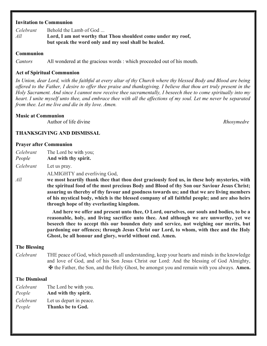## Invitation to Communion

Celebrant Behold the Lamb of God ...  $All$  Lord, I am not worthy that Thou shouldest come under my roof, but speak the word only and my soul shall be healed.

#### Communion

Cantors All wondered at the gracious words : which proceeded out of his mouth.

#### Act of Spiritual Communion

In Union, dear Lord, with the faithful at every altar of thy Church where thy blessed Body and Blood are being offered to the Father, I desire to offer thee praise and thanksgiving. I believe that thou art truly present in the Holy Sacrament. And since I cannot now receive thee sacramentally, I beseech thee to come spiritually into my heart. I unite myself unto thee, and embrace thee with all the affections of my soul. Let me never be separated from thee. Let me live and die in thy love. Amen.

#### Music at Communion

Author of life divine and the set of the set of the Rhosymedre Rhosymedre

### THANKSGIVING AND DISMISSAL

#### Prayer after Communion

Celebrant The Lord be with you;

People And with thy spirit.

Celebrant Let us pray.

ALMIGHTY and everliving God,

 $All$  we most heartily thank thee that thou dost graciously feed us, in these holy mysteries, with the spiritual food of the most precious Body and Blood of thy Son our Saviour Jesus Christ; assuring us thereby of thy favour and goodness towards us; and that we are living members of his mystical body, which is the blessed company of all faithful people; and are also heirs through hope of thy everlasting kingdom.

> And here we offer and present unto thee, O Lord, ourselves, our souls and bodies, to be a reasonable, holy, and living sacrifice unto thee. And although we are unworthy, yet we beseech thee to accept this our bounden duty and service, not weighing our merits, but pardoning our offences; through Jesus Christ our Lord, to whom, with thee and the Holy Ghost, be all honour and glory, world without end. Amen.

#### The Blessing

Celebrant THE peace of God, which passeth all understanding, keep your hearts and minds in the knowledge and love of God, and of his Son Jesus Christ our Lord: And the blessing of God Almighty, ✠ the Father, the Son, and the Holy Ghost, be amongst you and remain with you always. Amen.

#### The Dismissal

| Celebrant | The Lord be with you.    |
|-----------|--------------------------|
| People    | And with thy spirit.     |
| Celebrant | Let us depart in peace.  |
| People    | <b>Thanks be to God.</b> |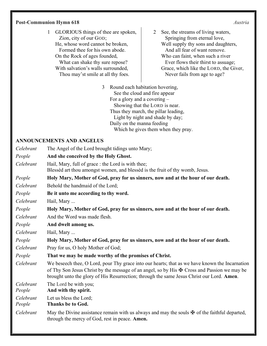## Post-Communion Hymn 618 Austria

1 GLORIOUS things of thee are spoken, Zion, city of our GOD; He, whose word cannot be broken, Formed thee for his own abode. On the Rock of ages founded, What can shake thy sure repose? With salvation's walls surrounded, Thou may'st smile at all thy foes.

2 See, the streams of living waters, Springing from eternal love, Well supply thy sons and daughters, And all fear of want remove. Who can faint, when such a river Ever flows their thirst to assuage; Grace, which like the LORD, the Giver, Never fails from age to age?

3 Round each habitation hovering, See the cloud and fire appear For a glory and a covering – Showing that the LORD is near. Thus they march, the pillar leading, Light by night and shade by day; Daily on the manna feeding Which he gives them when they pray.

# ANNOUNCEMENTS AND ANGELUS

| Celebrant           | The Angel of the Lord brought tidings unto Mary;                                                                                                                                                                                                                                                             |  |  |
|---------------------|--------------------------------------------------------------------------------------------------------------------------------------------------------------------------------------------------------------------------------------------------------------------------------------------------------------|--|--|
| People              | And she conceived by the Holy Ghost.                                                                                                                                                                                                                                                                         |  |  |
| Celebrant           | Hail, Mary, full of grace : the Lord is with thee;<br>Blessed art thou amongst women, and blessed is the fruit of thy womb, Jesus.                                                                                                                                                                           |  |  |
| People              | Holy Mary, Mother of God, pray for us sinners, now and at the hour of our death.                                                                                                                                                                                                                             |  |  |
| Celebrant           | Behold the handmaid of the Lord;                                                                                                                                                                                                                                                                             |  |  |
| People              | Be it unto me according to thy word.                                                                                                                                                                                                                                                                         |  |  |
| Celebrant           | Hail, Mary                                                                                                                                                                                                                                                                                                   |  |  |
| People              | Holy Mary, Mother of God, pray for us sinners, now and at the hour of our death.                                                                                                                                                                                                                             |  |  |
| Celebrant           | And the Word was made flesh.                                                                                                                                                                                                                                                                                 |  |  |
| People              | And dwelt among us.                                                                                                                                                                                                                                                                                          |  |  |
| Celebrant           | Hail, Mary                                                                                                                                                                                                                                                                                                   |  |  |
| People              | Holy Mary, Mother of God, pray for us sinners, now and at the hour of our death.                                                                                                                                                                                                                             |  |  |
| Celebrant           | Pray for us, O holy Mother of God;                                                                                                                                                                                                                                                                           |  |  |
| People              | That we may be made worthy of the promises of Christ.                                                                                                                                                                                                                                                        |  |  |
| Celebrant           | We beseech thee, O Lord, pour Thy grace into our hearts; that as we have known the Incarnation<br>of Thy Son Jesus Christ by the message of an angel, so by His $\mathbf{\ddot{F}}$ Cross and Passion we may be<br>brought unto the glory of His Resurrection; through the same Jesus Christ our Lord. Amen. |  |  |
| Celebrant<br>People | The Lord be with you;<br>And with thy spirit.                                                                                                                                                                                                                                                                |  |  |
| Celebrant<br>People | Let us bless the Lord;<br><b>Thanks be to God.</b>                                                                                                                                                                                                                                                           |  |  |
| Celebrant           | May the Divine assistance remain with us always and may the souls $\mathbf{\Psi}$ of the faithful departed,<br>through the mercy of God, rest in peace. Amen.                                                                                                                                                |  |  |